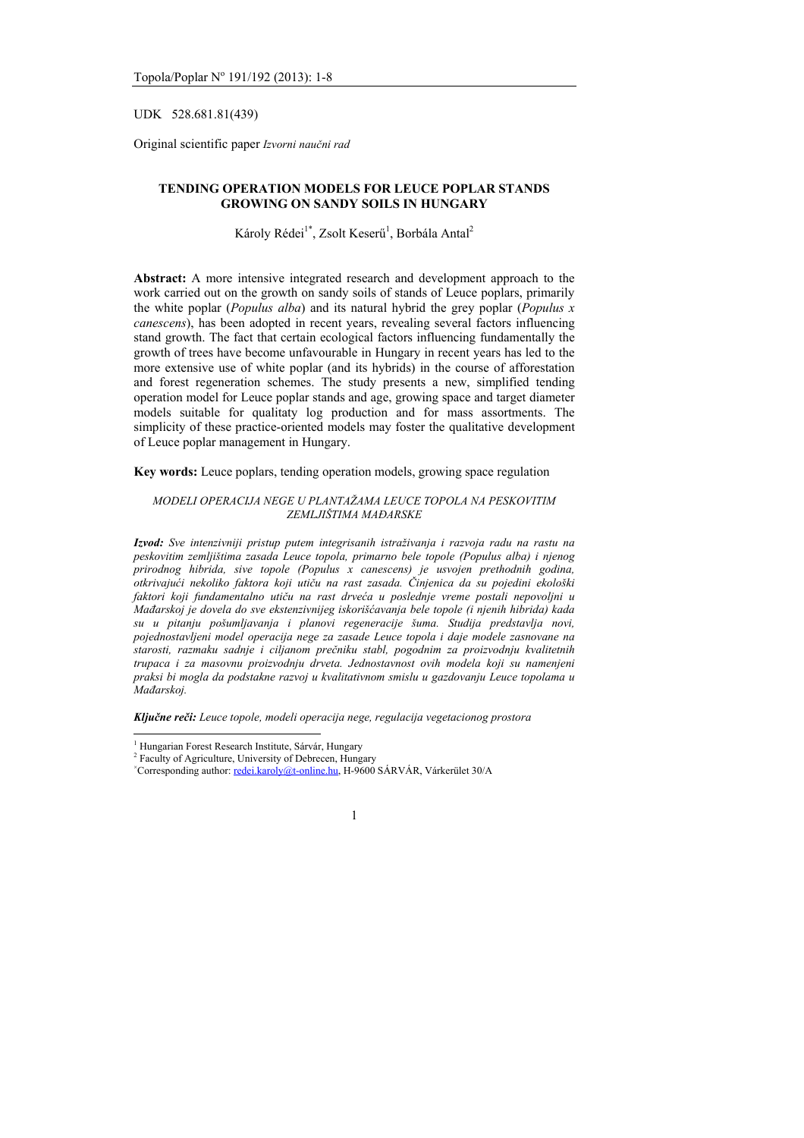UDK 528.681.81(439)

Original scientific paper *Izvorni naučni rad*

## **TENDING OPERATION MODELS FOR LEUCE POPLAR STANDS GROWING ON SANDY SOILS IN HUNGARY**

Károly Rédei<sup>1\*</sup>, Zsolt Keserű<sup>1</sup>, Borbála Antal<sup>2</sup>

**Abstract:** A more intensive integrated research and development approach to the work carried out on the growth on sandy soils of stands of Leuce poplars, primarily the white poplar (*Populus alba*) and its natural hybrid the grey poplar (*Populus x canescens*), has been adopted in recent years, revealing several factors influencing stand growth. The fact that certain ecological factors influencing fundamentally the growth of trees have become unfavourable in Hungary in recent years has led to the more extensive use of white poplar (and its hybrids) in the course of afforestation and forest regeneration schemes. The study presents a new, simplified tending operation model for Leuce poplar stands and age, growing space and target diameter models suitable for qualitaty log production and for mass assortments. The simplicity of these practice-oriented models may foster the qualitative development of Leuce poplar management in Hungary.

**Key words:** Leuce poplars, tending operation models, growing space regulation

### *MODELI OPERACIJA NEGE U PLANTAŽAMA LEUCE TOPOLA NA PESKOVITIM ZEMLJIŠTIMA MAĐARSKE*

*Izvod: Sve intenzivniji pristup putem integrisanih istraživanja i razvoja radu na rastu na peskovitim zemljištima zasada Leuce topola, primarno bele topole (Populus alba) i njenog prirodnog hibrida, sive topole (Populus x canescens) je usvojen prethodnih godina, otkrivajući nekoliko faktora koji utiču na rast zasada. Činjenica da su pojedini ekološki faktori koji fundamentalno utiču na rast drveća u poslednje vreme postali nepovoljni u Mađarskoj je dovela do sve ekstenzivnijeg iskorišćavanja bele topole (i njenih hibrida) kada su u pitanju pošumljavanja i planovi regeneracije šuma. Studija predstavlja novi, pojednostavljeni model operacija nege za zasade Leuce topola i daje modele zasnovane na starosti, razmaku sadnje i ciljanom prečniku stabl, pogodnim za proizvodnju kvalitetnih trupaca i za masovnu proizvodnju drveta. Jednostavnost ovih modela koji su namenjeni praksi bi mogla da podstakne razvoj u kvalitativnom smislu u gazdovanju Leuce topolama u Mađarskoj.* 

*Ključne reči: Leuce topole, modeli operacija nege, regulacija vegetacionog prostora* 

 $\overline{a}$ 

<sup>&</sup>lt;sup>1</sup> Hungarian Forest Research Institute, Sárvár, Hungary<br><sup>2</sup> Feaulty of Acriaulture, University of Debreean, Hunga

<sup>&</sup>lt;sup>2</sup> Faculty of Agriculture, University of Debrecen, Hungary

Corresponding author: redei.karoly@t-online.hu, H-9600 SÁRVÁR, Várkerület 30/A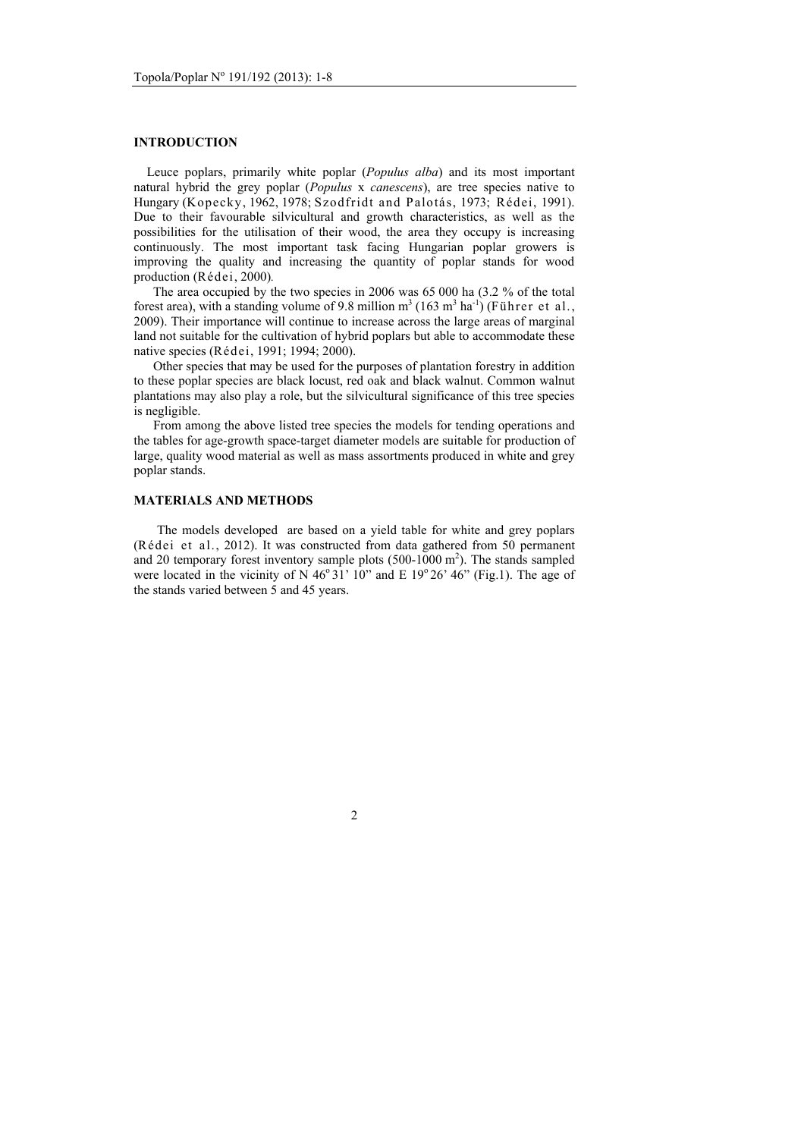## **INTRODUCTION**

 Leuce poplars, primarily white poplar (*Populus alba*) and its most important natural hybrid the grey poplar (*Populus* x *canescens*), are tree species native to Hungary (Kopecky, 1962, 1978; Szodfridt and Palotás, 1973; Rédei, 1991). Due to their favourable silvicultural and growth characteristics, as well as the possibilities for the utilisation of their wood, the area they occupy is increasing continuously. The most important task facing Hungarian poplar growers is improving the quality and increasing the quantity of poplar stands for wood production (Rédei, 2000)*.*

 The area occupied by the two species in 2006 was 65 000 ha (3.2 % of the total forest area), with a standing volume of 9.8 million  $m^3$  (163  $m^3$  ha<sup>-1</sup>) (Führer et al., 2009). Their importance will continue to increase across the large areas of marginal land not suitable for the cultivation of hybrid poplars but able to accommodate these native species (Rédei, 1991; 1994; 2000).

 Other species that may be used for the purposes of plantation forestry in addition to these poplar species are black locust, red oak and black walnut. Common walnut plantations may also play a role, but the silvicultural significance of this tree species is negligible.

 From among the above listed tree species the models for tending operations and the tables for age-growth space-target diameter models are suitable for production of large, quality wood material as well as mass assortments produced in white and grey poplar stands.

### **MATERIALS AND METHODS**

The models developed are based on a yield table for white and grey poplars (Rédei et al., 2012). It was constructed from data gathered from 50 permanent and 20 temporary forest inventory sample plots  $(500-1000 \text{ m}^2)$ . The stands sampled were located in the vicinity of N  $46^{\circ}31'$  10" and E 19 $^{\circ}26'$   $46"$  (Fig.1). The age of the stands varied between 5 and 45 years.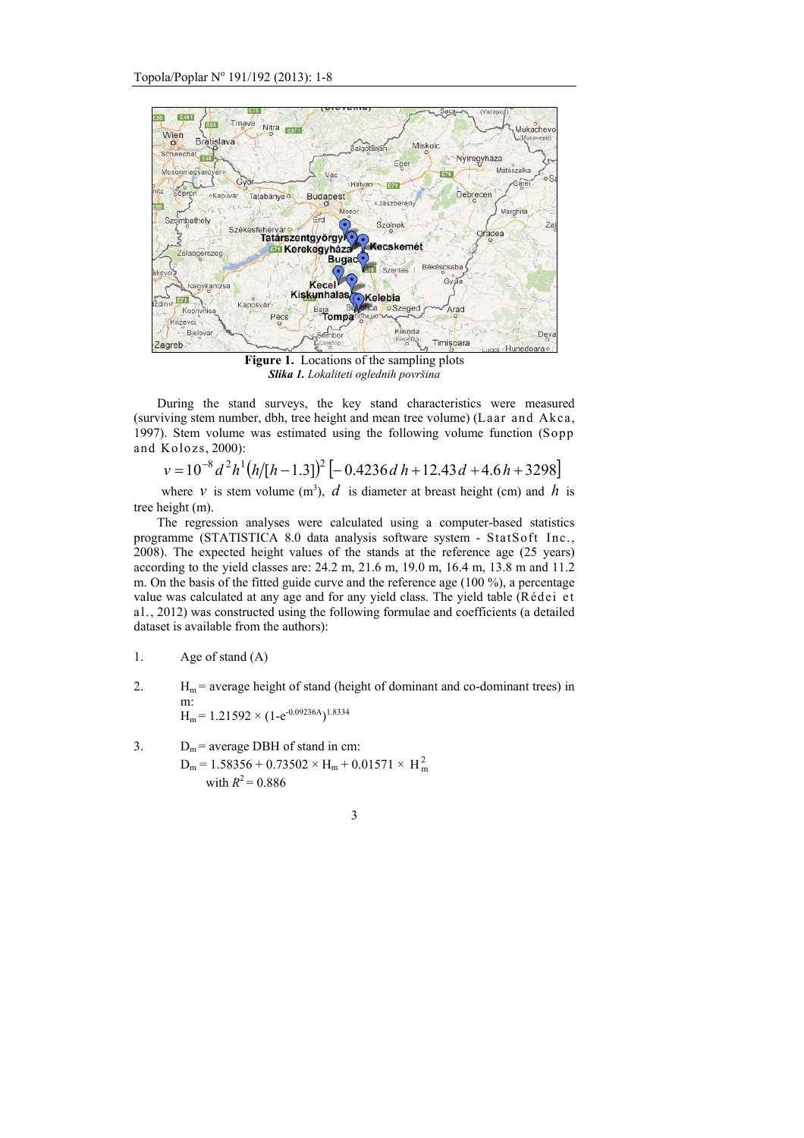

**Figure 1.** Locations of the sampling plots *Slika 1. Lokaliteti oglednih površina* 

During the stand surveys, the key stand characteristics were measured (surviving stem number, dbh, tree height and mean tree volume) (Laar and Akca, 1997). Stem volume was estimated using the following volume function (Sopp and Kolozs, 2000):

 $v = 10^{-8} d^2 h^1 (h/[h-1.3])^2 [-0.4236 d h + 12.43 d + 4.6 h + 3298]$ 

where *v* is stem volume  $(m^3)$ , *d* is diameter at breast height (cm) and *h* is tree height (m).

The regression analyses were calculated using a computer-based statistics programme (STATISTICA 8.0 data analysis software system - StatSoft Inc., 2008). The expected height values of the stands at the reference age (25 years) according to the yield classes are: 24.2 m, 21.6 m, 19.0 m, 16.4 m, 13.8 m and 11.2 m. On the basis of the fitted guide curve and the reference age (100 %), a percentage value was calculated at any age and for any yield class. The yield table (Rédei et al., 2012) was constructed using the following formulae and coefficients (a detailed dataset is available from the authors):

- 1. Age of stand (A)
- 2.  $H_m$  = average height of stand (height of dominant and co-dominant trees) in m:  $H_m$  = 1.21592  $\times$  (1-e<sup>-0.09236A</sup>)<sup>1.8334</sup>
- 3.  $D_m$  = average DBH of stand in cm:  $D_m = 1.58356 + 0.73502 \times H_m + 0.01571 \times H_m^2$ with  $R^2 = 0.886$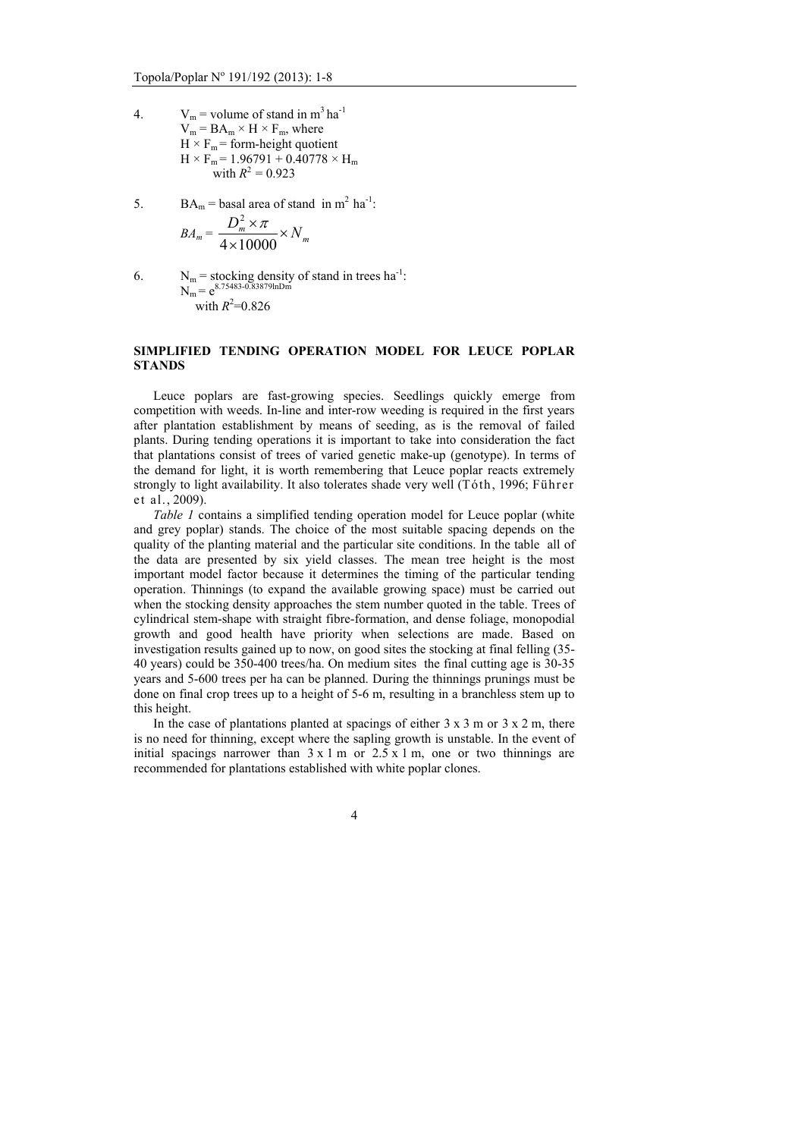- 4.  $V_m$  = volume of stand in m<sup>3</sup> ha<sup>-1</sup>  $V_m = BA_m \times H \times F_m$ , where  $H \times F_m$  = form-height quotient  $H \times F_m = 1.96791 + 0.40778 \times H_m$ with  $R^2 = 0.923$
- 5.  $BA_m = basal$  area of stand in m<sup>2</sup> ha<sup>-1</sup>:

$$
BA_m = \frac{D_m^2 \times \pi}{4 \times 10000} \times N_m
$$

6.  $N_m$  = stocking density of stand in trees ha<sup>-1</sup>:  $N_m = e^{8.75483 - 0.83879 \text{lnDm}}$ with  $R^2 = 0.826$ 

## **SIMPLIFIED TENDING OPERATION MODEL FOR LEUCE POPLAR STANDS**

 Leuce poplars are fast-growing species. Seedlings quickly emerge from competition with weeds. In-line and inter-row weeding is required in the first years after plantation establishment by means of seeding, as is the removal of failed plants. During tending operations it is important to take into consideration the fact that plantations consist of trees of varied genetic make-up (genotype). In terms of the demand for light, it is worth remembering that Leuce poplar reacts extremely strongly to light availability. It also tolerates shade very well (Tóth, 1996; Führer et al., 2009).

*Table 1* contains a simplified tending operation model for Leuce poplar (white and grey poplar) stands. The choice of the most suitable spacing depends on the quality of the planting material and the particular site conditions. In the table all of the data are presented by six yield classes. The mean tree height is the most important model factor because it determines the timing of the particular tending operation. Thinnings (to expand the available growing space) must be carried out when the stocking density approaches the stem number quoted in the table. Trees of cylindrical stem-shape with straight fibre-formation, and dense foliage, monopodial growth and good health have priority when selections are made. Based on investigation results gained up to now, on good sites the stocking at final felling (35- 40 years) could be 350-400 trees/ha. On medium sites the final cutting age is 30-35 years and 5-600 trees per ha can be planned. During the thinnings prunings must be done on final crop trees up to a height of 5-6 m, resulting in a branchless stem up to this height.

In the case of plantations planted at spacings of either  $3 \times 3$  m or  $3 \times 2$  m, there is no need for thinning, except where the sapling growth is unstable. In the event of initial spacings narrower than  $3 \times 1$  m or  $2.5 \times 1$  m, one or two thinnings are recommended for plantations established with white poplar clones.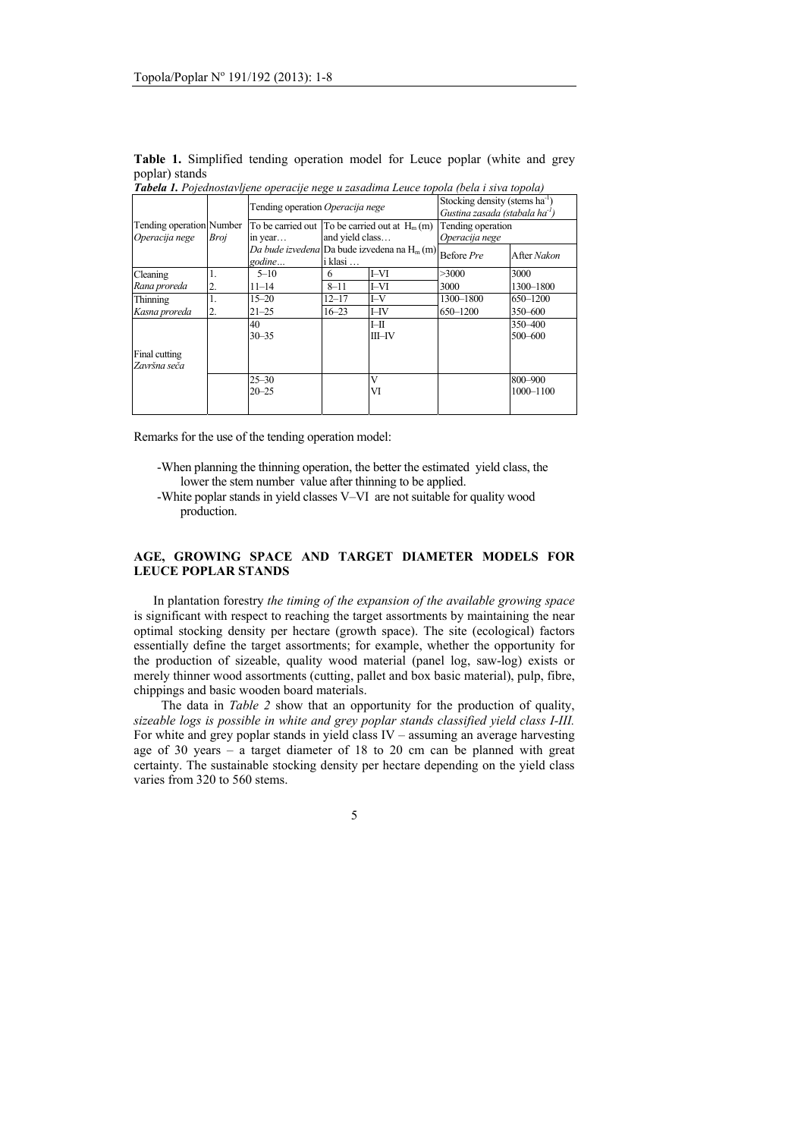|                | <b>Table 1.</b> Simplified tending operation model for Leuce poplar (white and grey          |  |  |  |  |  |
|----------------|----------------------------------------------------------------------------------------------|--|--|--|--|--|
| poplar) stands |                                                                                              |  |  |  |  |  |
|                | <b>Tabela 1</b> Dejednostavljene operacije nego u zasadima Leuce topola (bela i siva topola) |  |  |  |  |  |

|                               |      | Tending operation Operacija nege                         |           |                    | Stocking density (stems ha <sup>-1</sup><br>Gustina zasada (stabala ha <sup>-1</sup> ) |                      |  |
|-------------------------------|------|----------------------------------------------------------|-----------|--------------------|----------------------------------------------------------------------------------------|----------------------|--|
| Tending operation Number      | Broj | To be carried out $\Gamma$ To be carried out at $H_m(m)$ |           |                    | Tending operation                                                                      |                      |  |
| Operacija nege                |      | and yield class<br>in year                               |           |                    | Operacija nege                                                                         |                      |  |
|                               |      | Da bude izvedena Da bude izvedena na $H_m(m)$<br>godine  | i klasi   |                    | Before Pre                                                                             | After Nakon          |  |
| Cleaning                      |      | $5 - 10$                                                 | 6         | I-VI               | >3000                                                                                  | 3000                 |  |
| Rana proreda                  | 2.   | $11 - 14$                                                | $8 - 11$  | I-VI               | 3000                                                                                   | 1300-1800            |  |
| Thinning                      |      | $15 - 20$                                                | $12 - 17$ | I-V                | 1300-1800                                                                              | 650-1200             |  |
| Kasna proreda                 | 2.   | $21 - 25$                                                | $16 - 23$ | $I$ -IV            | 650-1200                                                                               | 350-600              |  |
|                               |      | 40<br>$30 - 35$                                          |           | $I-H$<br>$III$ -IV |                                                                                        | 350 - 400<br>500-600 |  |
| Final cutting<br>Završna seča |      |                                                          |           |                    |                                                                                        |                      |  |
|                               |      | $25 - 30$<br>$20 - 25$                                   |           | V<br>VI            |                                                                                        | 800-900<br>1000-1100 |  |

Remarks for the use of the tending operation model:

- -When planning the thinning operation, the better the estimated yield class, the lower the stem number value after thinning to be applied.
- -White poplar stands in yield classes V–VI are not suitable for quality wood production.

# **AGE, GROWING SPACE AND TARGET DIAMETER MODELS FOR LEUCE POPLAR STANDS**

 In plantation forestry *the timing of the expansion of the available growing space*  is significant with respect to reaching the target assortments by maintaining the near optimal stocking density per hectare (growth space). The site (ecological) factors essentially define the target assortments; for example, whether the opportunity for the production of sizeable, quality wood material (panel log, saw-log) exists or merely thinner wood assortments (cutting, pallet and box basic material), pulp, fibre, chippings and basic wooden board materials.

 The data in *Table 2* show that an opportunity for the production of quality, *sizeable logs is possible in white and grey poplar stands classified yield class I-III.* For white and grey poplar stands in yield class IV – assuming an average harvesting age of 30 years – a target diameter of 18 to 20 cm can be planned with great certainty. The sustainable stocking density per hectare depending on the yield class varies from 320 to 560 stems.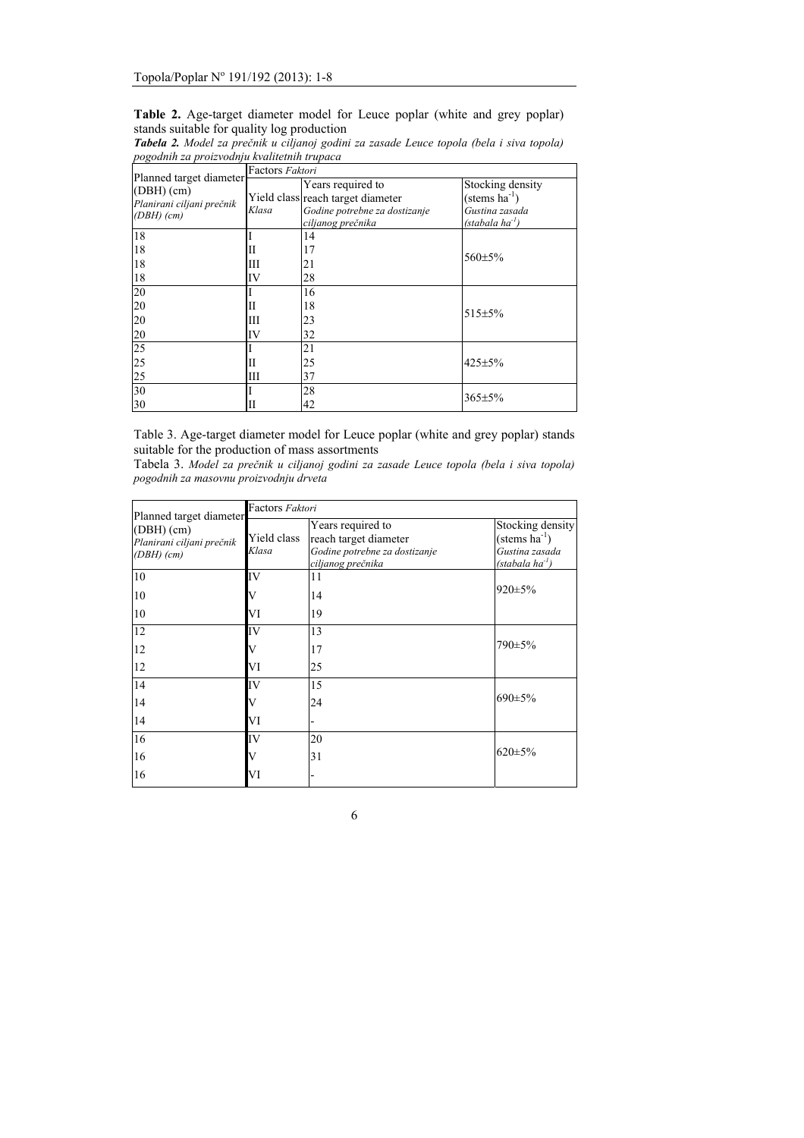| Table 2. Age-target diameter model for Leuce poplar (white and grey poplar) |  |  |  |  |  |
|-----------------------------------------------------------------------------|--|--|--|--|--|
| stands suitable for quality log production                                  |  |  |  |  |  |

| роgоант za proizvoanju кvatuetnin trupaca                                         |                 |                                                                                                              |                                                                                               |  |  |  |  |
|-----------------------------------------------------------------------------------|-----------------|--------------------------------------------------------------------------------------------------------------|-----------------------------------------------------------------------------------------------|--|--|--|--|
|                                                                                   | Factors Faktori |                                                                                                              |                                                                                               |  |  |  |  |
| Planned target diameter<br>(DBH)(cm)<br>Planirani ciljani prečnik<br>$(DBH)$ (cm) | Klasa           | Years required to<br>Yield class reach target diameter<br>Godine potrebne za dostizanje<br>ciljanog prečnika | Stocking density<br>$(\text{stems ha}^{-1})$<br>Gustina zasada<br>(stabala ha <sup>-1</sup> ) |  |  |  |  |
| 18                                                                                |                 | 14                                                                                                           |                                                                                               |  |  |  |  |
| 18                                                                                | Ш               | 17                                                                                                           | 560±5%                                                                                        |  |  |  |  |
| 18                                                                                | Ш               | 21                                                                                                           |                                                                                               |  |  |  |  |
| 18                                                                                | IV              | 28                                                                                                           |                                                                                               |  |  |  |  |
| 20                                                                                |                 | 16                                                                                                           |                                                                                               |  |  |  |  |
| 20                                                                                | П               | 18                                                                                                           | $515 \pm 5\%$                                                                                 |  |  |  |  |
| 20                                                                                | Ш               | 23                                                                                                           |                                                                                               |  |  |  |  |
| 20                                                                                | IV              | 32                                                                                                           |                                                                                               |  |  |  |  |
| 25                                                                                |                 | 21                                                                                                           |                                                                                               |  |  |  |  |
| 25                                                                                | П               | 25                                                                                                           | $425 \pm 5\%$                                                                                 |  |  |  |  |
| 25                                                                                | Ш               | 37                                                                                                           |                                                                                               |  |  |  |  |
| 30                                                                                |                 | 28                                                                                                           | 365±5%                                                                                        |  |  |  |  |
| 30                                                                                | Ш               | 42                                                                                                           |                                                                                               |  |  |  |  |

*Tabela 2. Model za prečnik u ciljanoj godini za zasade Leuce topola (bela i siva topola) pogodnih za proizvodnju kvalitetnih trupaca* 

Table 3. Age-target diameter model for Leuce poplar (white and grey poplar) stands suitable for the production of mass assortments

Tabela 3. *Model za prečnik u ciljanoj godini za zasade Leuce topola (bela i siva topola) pogodnih za masovnu proizvodnju drveta* 

| Planned target diameter                                | Factors Faktori      |                                                                                                  |                                                                                       |  |  |  |
|--------------------------------------------------------|----------------------|--------------------------------------------------------------------------------------------------|---------------------------------------------------------------------------------------|--|--|--|
| (DBH)(cm)<br>Planirani ciljani prečnik<br>$(DBH)$ (cm) | Yield class<br>Klasa | Years required to<br>reach target diameter<br>Godine potrebne za dostizanje<br>ciljanog prečnika | Stocking density<br>$(\text{stems ha}^{-1})$<br>Gustina zasada<br>$(stabala ha^{-1})$ |  |  |  |
| 10                                                     | IV                   | 11                                                                                               |                                                                                       |  |  |  |
| 10                                                     |                      | 14                                                                                               | $920 \pm 5\%$                                                                         |  |  |  |
| 10                                                     | VI                   | 19                                                                                               |                                                                                       |  |  |  |
| 12                                                     | IV                   | 13                                                                                               |                                                                                       |  |  |  |
| 12                                                     | V                    | 17                                                                                               | $790 \pm 5\%$                                                                         |  |  |  |
| 12                                                     | VI                   | 25                                                                                               |                                                                                       |  |  |  |
| 14                                                     | IV                   | 15                                                                                               |                                                                                       |  |  |  |
| 14                                                     | V                    | 24                                                                                               | $690 \pm 5\%$                                                                         |  |  |  |
| 14                                                     | VI                   | ۰                                                                                                |                                                                                       |  |  |  |
| 16                                                     | IV                   | 20                                                                                               |                                                                                       |  |  |  |
| 16                                                     | V                    | 31                                                                                               | $620 \pm 5\%$                                                                         |  |  |  |
| 16                                                     | VI                   |                                                                                                  |                                                                                       |  |  |  |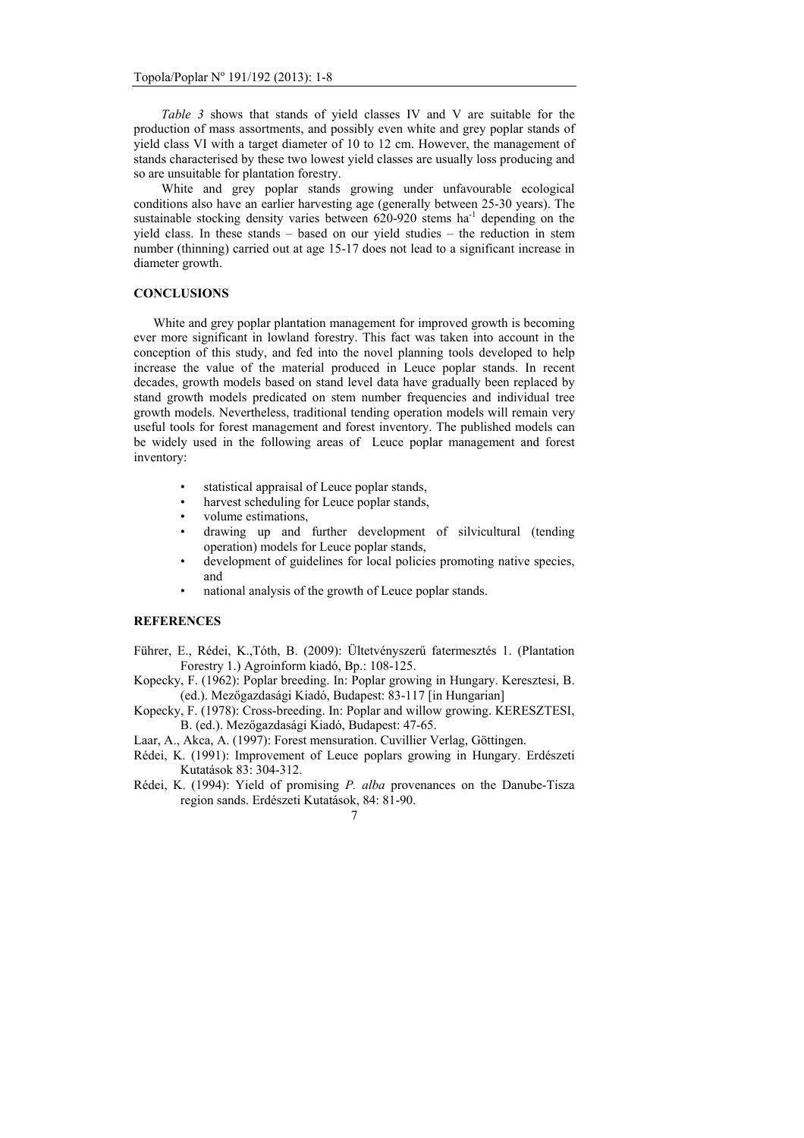*Table 3* shows that stands of yield classes IV and V are suitable for the production of mass assortments, and possibly even white and grey poplar stands of yield class VI with a target diameter of 10 to 12 cm. However, the management of stands characterised by these two lowest yield classes are usually loss producing and so are unsuitable for plantation forestry.

White and grey poplar stands growing under unfavourable ecological conditions also have an earlier harvesting age (generally between 25-30 years). The sustainable stocking density varies between  $620-920$  stems ha<sup>-1</sup> depending on the yield class. In these stands – based on our yield studies – the reduction in stem number (thinning) carried out at age 15-17 does not lead to a significant increase in diameter growth.

## **CONCLUSIONS**

 White and grey poplar plantation management for improved growth is becoming ever more significant in lowland forestry. This fact was taken into account in the conception of this study, and fed into the novel planning tools developed to help increase the value of the material produced in Leuce poplar stands. In recent decades, growth models based on stand level data have gradually been replaced by stand growth models predicated on stem number frequencies and individual tree growth models. Nevertheless, traditional tending operation models will remain very useful tools for forest management and forest inventory. The published models can be widely used in the following areas of Leuce poplar management and forest inventory:

- statistical appraisal of Leuce poplar stands,
- harvest scheduling for Leuce poplar stands,
- volume estimations,
- drawing up and further development of silvicultural (tending operation) models for Leuce poplar stands,
- development of guidelines for local policies promoting native species. and
- national analysis of the growth of Leuce poplar stands.

## **REFERENCES**

- Führer, E., Rédei, K.,Tóth, B. (2009): Ültetvényszerű fatermesztés 1. (Plantation Forestry 1.) Agroinform kiadó, Bp.: 108-125.
- Kopecky, F. (1962): Poplar breeding. In: Poplar growing in Hungary. Keresztesi, B. (ed.). Mezőgazdasági Kiadó, Budapest: 83-117 [in Hungarian]
- Kopecky, F. (1978): Cross-breeding. In: Poplar and willow growing. KERESZTESI, B. (ed.). Mezőgazdasági Kiadó, Budapest: 47-65.

Laar, A., Akca, A. (1997): Forest mensuration. Cuvillier Verlag, Göttingen.

- Rédei, K. (1991): Improvement of Leuce poplars growing in Hungary. Erdészeti Kutatások 83: 304-312.
- Rédei, K. (1994): Yield of promising *P. alba* provenances on the Danube-Tisza region sands. Erdészeti Kutatások, 84: 81-90.

<sup>7</sup>